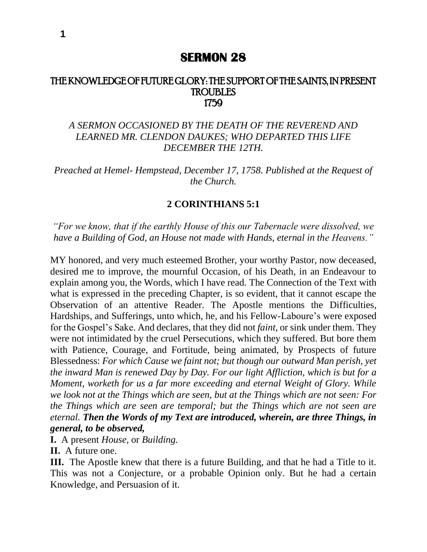## **SERMON 28**

## THE KNOWLEDGE OF FUTURE GLORY: THE SUPPORT OF THE SAINTS, IN PRESENT TROUBLES 1759

## *A SERMON OCCASIONED BY THE DEATH OF THE REVEREND AND LEARNED MR. CLENDON DAUKES; WHO DEPARTED THIS LIFE DECEMBER THE 12TH.*

*Preached at Hemel- Hempstead, December 17, 1758. Published at the Request of the Church.*

## **2 CORINTHIANS 5:1**

*"For we know, that if the earthly House of this our Tabernacle were dissolved, we have a Building of God, an House not made with Hands, eternal in the Heavens."*

MY honored, and very much esteemed Brother, your worthy Pastor, now deceased, desired me to improve, the mournful Occasion, of his Death, in an Endeavour to explain among you, the Words, which I have read. The Connection of the Text with what is expressed in the preceding Chapter, is so evident, that it cannot escape the Observation of an attentive Reader. The Apostle mentions the Difficulties, Hardships, and Sufferings, unto which, he, and his Fellow-Laboure's were exposed for the Gospel's Sake. And declares, that they did not *faint,* or sink under them. They were not intimidated by the cruel Persecutions, which they suffered. But bore them with Patience, Courage, and Fortitude, being animated, by Prospects of future Blessedness: *For which Cause we faint not; but though our outward Man perish, yet the inward Man is renewed Day by Day. For our light Affliction, which is but for a Moment, worketh for us a far more exceeding and eternal Weight of Glory. While we look not at the Things which are seen, but at the Things which are not seen: For the Things which are seen are temporal; but the Things which are not seen are eternal. Then the Words of my Text are introduced, wherein, are three Things, in general, to be observed,* 

**I.** A present *House*, or *Building.*

**II.** A future one.

**III.**The Apostle knew that there is a future Building, and that he had a Title to it. This was not a Conjecture, or a probable Opinion only. But he had a certain Knowledge, and Persuasion of it.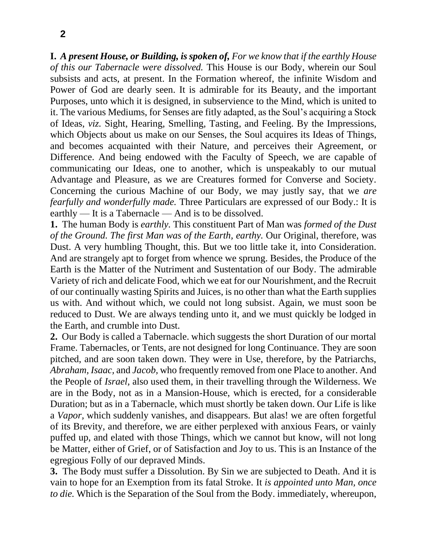**I.** *A present House, or Building, is spoken of, For we know that if the earthly House of this our Tabernacle were dissolved.* This House is our Body, wherein our Soul subsists and acts, at present. In the Formation whereof, the infinite Wisdom and Power of God are dearly seen. It is admirable for its Beauty, and the important Purposes, unto which it is designed, in subservience to the Mind, which is united to it. The various Mediums, for Senses are fitly adapted, as the Soul's acquiring a Stock of Ideas, *viz.* Sight, Hearing, Smelling, Tasting, and Feeling. By the Impressions, which Objects about us make on our Senses, the Soul acquires its Ideas of Things, and becomes acquainted with their Nature, and perceives their Agreement, or Difference. And being endowed with the Faculty of Speech, we are capable of communicating our Ideas, one to another, which is unspeakably to our mutual Advantage and Pleasure, as we are Creatures formed for Converse and Society. Concerning the curious Machine of our Body, we may justly say, that we *are fearfully and wonderfully made.* Three Particulars are expressed of our Body.: It is earthly — It is a Tabernacle — And is to be dissolved.

**1.** The human Body is *earthly.* This constituent Part of Man was *formed of the Dust of the Ground. The first Man was of the Earth, earthy.* Our Original, therefore, was Dust. A very humbling Thought, this. But we too little take it, into Consideration. And are strangely apt to forget from whence we sprung. Besides, the Produce of the Earth is the Matter of the Nutriment and Sustentation of our Body. The admirable Variety of rich and delicate Food, which we eat for our Nourishment, and the Recruit of our continually wasting Spirits and Juices, is no other than what the Earth supplies us with. And without which, we could not long subsist. Again, we must soon be reduced to Dust. We are always tending unto it, and we must quickly be lodged in the Earth, and crumble into Dust.

**2.** Our Body is called a Tabernacle. which suggests the short Duration of our mortal Frame. Tabernacles, or Tents, are not designed for long Continuance. They are soon pitched, and are soon taken down. They were in Use, therefore, by the Patriarchs, *Abraham, Isaac,* and *Jacob,* who frequently removed from one Place to another. And the People of *Israel,* also used them, in their travelling through the Wilderness. We are in the Body, not as in a Mansion-House, which is erected, for a considerable Duration; but as in a Tabernacle, which must shortly be taken down. Our Life is like a *Vapor,* which suddenly vanishes, and disappears. But alas! we are often forgetful of its Brevity, and therefore, we are either perplexed with anxious Fears, or vainly puffed up, and elated with those Things, which we cannot but know, will not long be Matter, either of Grief, or of Satisfaction and Joy to us. This is an Instance of the egregious Folly of our depraved Minds.

**3.** The Body must suffer a Dissolution. By Sin we are subjected to Death. And it is vain to hope for an Exemption from its fatal Stroke. It *is appointed unto Man, once to die.* Which is the Separation of the Soul from the Body. immediately, whereupon,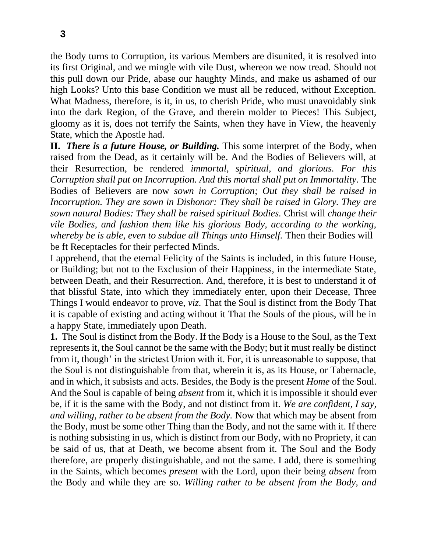the Body turns to Corruption, its various Members are disunited, it is resolved into its first Original, and we mingle with vile Dust, whereon we now tread. Should not this pull down our Pride, abase our haughty Minds, and make us ashamed of our high Looks? Unto this base Condition we must all be reduced, without Exception. What Madness, therefore, is it, in us, to cherish Pride, who must unavoidably sink into the dark Region, of the Grave, and therein molder to Pieces! This Subject, gloomy as it is, does not terrify the Saints, when they have in View, the heavenly State, which the Apostle had.

**II.** *There is a future House, or Building.* This some interpret of the Body, when raised from the Dead, as it certainly will be. And the Bodies of Believers will, at their Resurrection, be rendered *immortal, spiritual, and glorious. For this Corruption shall put on Incorruption. And this mortal shall put on Immortality.* The Bodies of Believers are now *sown in Corruption; Out they shall be raised in Incorruption. They are sown in Dishonor: They shall be raised in Glory. They are sown natural Bodies: They shall be raised spiritual Bodies.* Christ will *change their vile Bodies, and fashion them like his glorious Body, according to the working, whereby be is able, even to subdue all Things unto Himself.* Then their Bodies will be ft Receptacles for their perfected Minds.

I apprehend, that the eternal Felicity of the Saints is included, in this future House, or Building; but not to the Exclusion of their Happiness, in the intermediate State, between Death, and their Resurrection. And, therefore, it is best to understand it of that blissful State, into which they immediately enter, upon their Decease, Three Things I would endeavor to prove, *viz.* That the Soul is distinct from the Body That it is capable of existing and acting without it That the Souls of the pious, will be in a happy State, immediately upon Death.

**1.** The Soul is distinct from the Body. If the Body is a House to the Soul, as the Text represents it, the Soul cannot be the same with the Body; but it must really be distinct from it, though' in the strictest Union with it. For, it is unreasonable to suppose, that the Soul is not distinguishable from that, wherein it is, as its House, or Tabernacle, and in which, it subsists and acts. Besides, the Body is the present *Home* of the Soul. And the Soul is capable of being *absent* from it, which it is impossible it should ever be, if it is the same with the Body, and not distinct from it. *We are confident, I say, and willing, rather to be absent from the Body.* Now that which may be absent from the Body, must be some other Thing than the Body, and not the same with it. If there is nothing subsisting in us, which is distinct from our Body, with no Propriety, it can be said of us, that at Death, we become absent from it. The Soul and the Body therefore, are properly distinguishable, and not the same. I add, there is something in the Saints, which becomes *present* with the Lord, upon their being *absent* from the Body and while they are so. *Willing rather to be absent from the Body, and*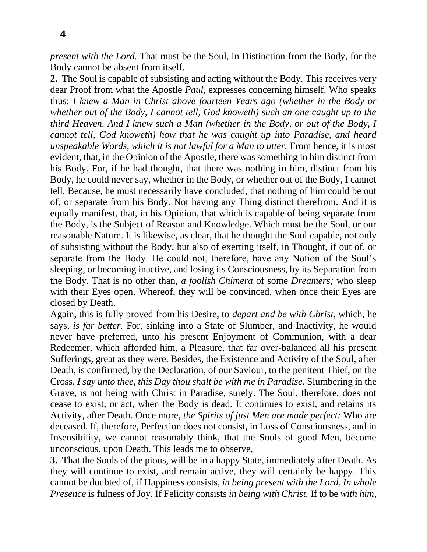*present with the Lord.* That must be the Soul, in Distinction from the Body, for the Body cannot be absent from itself.

**2.** The Soul is capable of subsisting and acting without the Body. This receives very dear Proof from what the Apostle *Paul,* expresses concerning himself. Who speaks thus: *I knew a Man in Christ above fourteen Years ago (whether in the Body or whether out of the Body, I cannot tell, God knoweth) such an one caught up to the third Heaven. And I knew such a Man (whether in the Body, or out of the Body, I cannot tell, God knoweth) how that he was caught up into Paradise, and heard unspeakable Words, which it is not lawful for a Man to utter.* From hence, it is most evident, that, in the Opinion of the Apostle, there was something in him distinct from his Body. For, if he had thought, that there was nothing in him, distinct from his Body, he could never say, whether in the Body, or whether out of the Body, I cannot tell. Because, he must necessarily have concluded, that nothing of him could be out of, or separate from his Body. Not having any Thing distinct therefrom. And it is equally manifest, that, in his Opinion, that which is capable of being separate from the Body, is the Subject of Reason and Knowledge. Which must be the Soul, or our reasonable Nature. It is likewise, as clear, that he thought the Soul capable, not only of subsisting without the Body, but also of exerting itself, in Thought, if out of, or separate from the Body. He could not, therefore, have any Notion of the Soul's sleeping, or becoming inactive, and losing its Consciousness, by its Separation from the Body. That is no other than, *a foolish Chimera* of some *Dreamers;* who sleep with their Eyes open. Whereof, they will be convinced, when once their Eyes are closed by Death.

Again, this is fully proved from his Desire, to *depart and be with Christ,* which, he says, *is far better.* For, sinking into a State of Slumber, and Inactivity, he would never have preferred, unto his present Enjoyment of Communion, with a dear Redeemer, which afforded him, a Pleasure, that far over-balanced all his present Sufferings, great as they were. Besides, the Existence and Activity of the Soul, after Death, is confirmed, by the Declaration, of our Saviour, to the penitent Thief, on the Cross. *I say unto thee, this Day thou shalt be with me in Paradise.* Slumbering in the Grave, is not being with Christ in Paradise, surely. The Soul, therefore, does not cease to exist, or act, when the Body is dead. It continues to exist, and retains its Activity, after Death. Once more, *the Spirits of just Men are made perfect:* Who are deceased. If, therefore, Perfection does not consist, in Loss of Consciousness, and in Insensibility, we cannot reasonably think, that the Souls of good Men, become unconscious, upon Death. This leads me to observe,

**3.** That the Souls of the pious, will be in a happy State, immediately after Death. As they will continue to exist, and remain active, they will certainly be happy. This cannot be doubted of, if Happiness consists, *in being present with the Lord. In whole Presence* is fulness of Joy. If Felicity consists *in being with Christ.* If to be *with him,*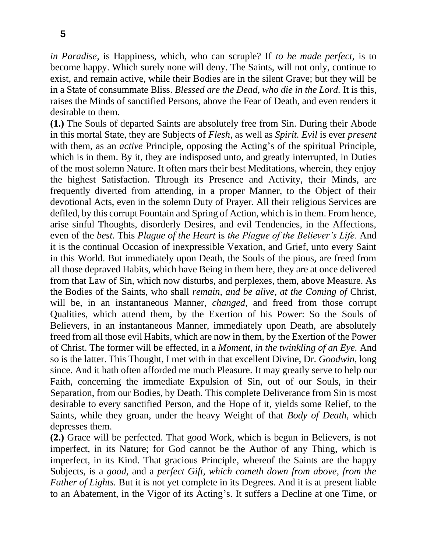*in Paradise,* is Happiness, which, who can scruple? If *to be made perfect,* is to become happy. Which surely none will deny. The Saints, will not only, continue to exist, and remain active, while their Bodies are in the silent Grave; but they will be in a State of consummate Bliss. *Blessed are the Dead, who die in the Lord.* It is this, raises the Minds of sanctified Persons, above the Fear of Death, and even renders it desirable to them.

**(1.)** The Souls of departed Saints are absolutely free from Sin. During their Abode in this mortal State, they are Subjects of *Flesh,* as well as *Spirit. Evil* is ever *present*  with them, as an *active* Principle, opposing the Acting's of the spiritual Principle, which is in them. By it, they are indisposed unto, and greatly interrupted, in Duties of the most solemn Nature. It often mars their best Meditations, wherein, they enjoy the highest Satisfaction. Through its Presence and Activity, their Minds, are frequently diverted from attending, in a proper Manner, to the Object of their devotional Acts, even in the solemn Duty of Prayer. All their religious Services are defiled, by this corrupt Fountain and Spring of Action, which is in them. From hence, arise sinful Thoughts, disorderly Desires, and evil Tendencies, in the Affections, even of the *best*. This *Plague of the Heart* is *the Plague of the Believer's Life.* And it is the continual Occasion of inexpressible Vexation, and Grief, unto every Saint in this World. But immediately upon Death, the Souls of the pious, are freed from all those depraved Habits, which have Being in them here, they are at once delivered from that Law of Sin, which now disturbs, and perplexes, them, above Measure. As the Bodies of the Saints, who shall *remain, and be alive, at the Coming of* Christ, will be, in an instantaneous Manner, *changed*, and freed from those corrupt Qualities, which attend them, by the Exertion of his Power: So the Souls of Believers, in an instantaneous Manner, immediately upon Death, are absolutely freed from all those evil Habits, which are now in them, by the Exertion of the Power of Christ. The former will be effected, in a *Moment, in the twinkling of an Eye.* And so is the latter. This Thought, I met with in that excellent Divine, Dr. *Goodwin,* long since. And it hath often afforded me much Pleasure. It may greatly serve to help our Faith, concerning the immediate Expulsion of Sin, out of our Souls, in their Separation, from our Bodies, by Death. This complete Deliverance from Sin is most desirable to every sanctified Person, and the Hope of it, yields some Relief, to the Saints, while they groan, under the heavy Weight of that *Body of Death,* which depresses them.

**(2.)** Grace will be perfected. That good Work, which is begun in Believers, is not imperfect, in its Nature; for God cannot be the Author of any Thing, which is imperfect, in its Kind. That gracious Principle, whereof the Saints are the happy Subjects, is a *good,* and a *perfect Gift, which cometh down from above, from the Father of Lights.* But it is not yet complete in its Degrees. And it is at present liable to an Abatement, in the Vigor of its Acting's. It suffers a Decline at one Time, or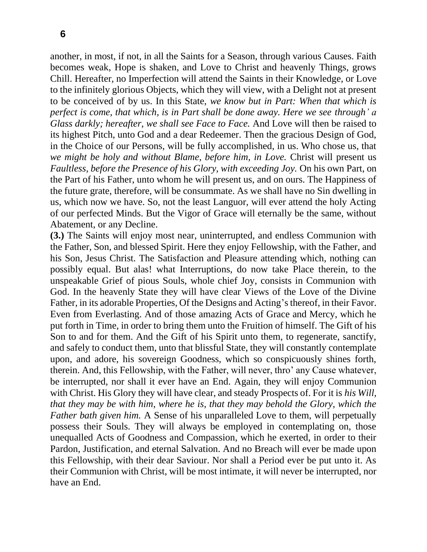another, in most, if not, in all the Saints for a Season, through various Causes. Faith becomes weak, Hope is shaken, and Love to Christ and heavenly Things, grows Chill. Hereafter, no Imperfection will attend the Saints in their Knowledge, or Love to the infinitely glorious Objects, which they will view, with a Delight not at present to be conceived of by us. In this State, *we know but in Part: When that which is perfect is come, that which, is in Part shall be done away. Here we see through' a Glass darkly; hereafter, we shall see Face to Face.* And Love will then be raised to its highest Pitch, unto God and a dear Redeemer. Then the gracious Design of God, in the Choice of our Persons, will be fully accomplished, in us. Who chose us, that *we might be holy and without Blame, before him, in Love.* Christ will present us *Faultless, before the Presence of his Glory, with exceeding Joy.* On his own Part, on the Part of his Father, unto whom he will present us, and on ours. The Happiness of the future grate, therefore, will be consummate. As we shall have no Sin dwelling in us, which now we have. So, not the least Languor, will ever attend the holy Acting of our perfected Minds. But the Vigor of Grace will eternally be the same, without Abatement, or any Decline.

**(3.)** The Saints will enjoy most near, uninterrupted, and endless Communion with the Father, Son, and blessed Spirit. Here they enjoy Fellowship, with the Father, and his Son, Jesus Christ. The Satisfaction and Pleasure attending which, nothing can possibly equal. But alas! what Interruptions, do now take Place therein, to the unspeakable Grief of pious Souls, whole chief Joy, consists in Communion with God. In the heavenly State they will have clear Views of the Love of the Divine Father, in its adorable Properties, Of the Designs and Acting's thereof, in their Favor. Even from Everlasting. And of those amazing Acts of Grace and Mercy, which he put forth in Time, in order to bring them unto the Fruition of himself. The Gift of his Son to and for them. And the Gift of his Spirit unto them, to regenerate, sanctify, and safely to conduct them, unto that blissful State, they will constantly contemplate upon, and adore, his sovereign Goodness, which so conspicuously shines forth, therein. And, this Fellowship, with the Father, will never, thro' any Cause whatever, be interrupted, nor shall it ever have an End. Again, they will enjoy Communion with Christ. His Glory they will have clear, and steady Prospects of. For it is *his Will, that they may be with him, where he is, that they may behold the Glory, which the Father bath given him.* A Sense of his unparalleled Love to them, will perpetually possess their Souls. They will always be employed in contemplating on, those unequalled Acts of Goodness and Compassion, which he exerted, in order to their Pardon, Justification, and eternal Salvation. And no Breach will ever be made upon this Fellowship, with their dear Saviour. Nor shall a Period ever be put unto it. As their Communion with Christ, will be most intimate, it will never be interrupted, nor have an End.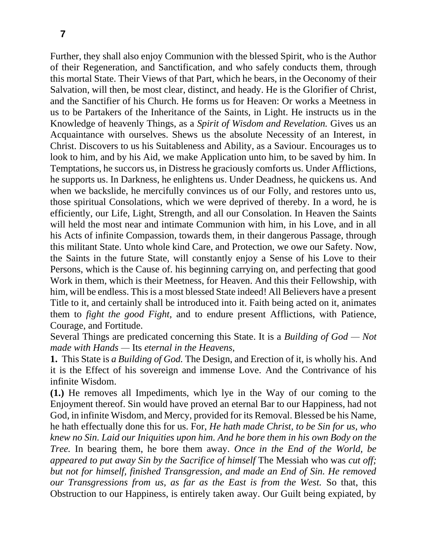Further, they shall also enjoy Communion with the blessed Spirit, who is the Author of their Regeneration, and Sanctification, and who safely conducts them, through this mortal State. Their Views of that Part, which he bears, in the Oeconomy of their Salvation, will then, be most clear, distinct, and heady. He is the Glorifier of Christ, and the Sanctifier of his Church. He forms us for Heaven: Or works a Meetness in us to be Partakers of the Inheritance of the Saints, in Light. He instructs us in the Knowledge of heavenly Things, as a *Spirit of Wisdom and Revelation.* Gives us an Acquaintance with ourselves. Shews us the absolute Necessity of an Interest, in Christ. Discovers to us his Suitableness and Ability, as a Saviour. Encourages us to look to him, and by his Aid, we make Application unto him, to be saved by him. In Temptations, he succors us, in Distress he graciously comforts us. Under Afflictions, he supports us. In Darkness, he enlightens us. Under Deadness, he quickens us. And when we backslide, he mercifully convinces us of our Folly, and restores unto us, those spiritual Consolations, which we were deprived of thereby. In a word, he is efficiently, our Life, Light, Strength, and all our Consolation. In Heaven the Saints will held the most near and intimate Communion with him, in his Love, and in all his Acts of infinite Compassion, towards them, in their dangerous Passage, through this militant State. Unto whole kind Care, and Protection, we owe our Safety. Now, the Saints in the future State, will constantly enjoy a Sense of his Love to their Persons, which is the Cause of. his beginning carrying on, and perfecting that good Work in them, which is their Meetness, for Heaven. And this their Fellowship, with him, will be endless. This is a most blessed State indeed! All Believers have a present Title to it, and certainly shall be introduced into it. Faith being acted on it, animates them to *fight the good Fight,* and to endure present Afflictions, with Patience, Courage, and Fortitude.

Several Things are predicated concerning this State. It is a *Building of God — Not made with Hands —* Its *eternal in the Heavens,*

**1.** This State is *a Building of God.* The Design, and Erection of it, is wholly his. And it is the Effect of his sovereign and immense Love. And the Contrivance of his infinite Wisdom.

**(1.)** He removes all Impediments, which lye in the Way of our coming to the Enjoyment thereof. Sin would have proved an eternal Bar to our Happiness, had not God, in infinite Wisdom, and Mercy, provided for its Removal. Blessed be his Name, he hath effectually done this for us. For, *He hath made Christ, to be Sin for us, who knew no Sin. Laid our Iniquities upon him. And he bore them in his own Body on the Tree.* In bearing them, he bore them away. *Once in the End of the World, be appeared to put away Sin by the Sacrifice of himself* The Messiah who was *cut off; but not for himself, finished Transgression, and made an End of Sin. He removed our Transgressions from us, as far as the East is from the West.* So that, this Obstruction to our Happiness, is entirely taken away. Our Guilt being expiated, by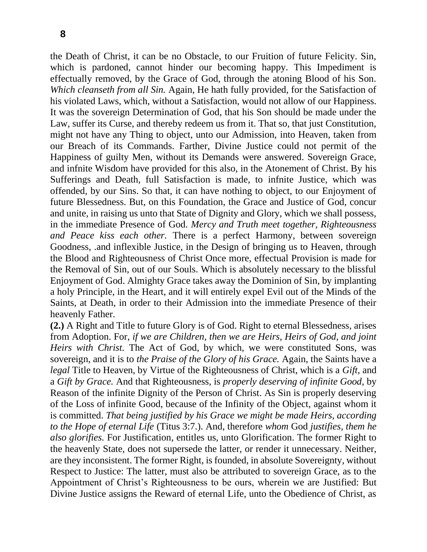the Death of Christ, it can be no Obstacle, to our Fruition of future Felicity. Sin, which is pardoned, cannot hinder our becoming happy. This Impediment is effectually removed, by the Grace of God, through the atoning Blood of his Son. *Which cleanseth from all Sin.* Again, He hath fully provided, for the Satisfaction of his violated Laws, which, without a Satisfaction, would not allow of our Happiness. It was the sovereign Determination of God, that his Son should be made under the Law, suffer its Curse, and thereby redeem us from it. That so, that just Constitution, might not have any Thing to object, unto our Admission, into Heaven, taken from our Breach of its Commands. Farther, Divine Justice could not permit of the Happiness of guilty Men, without its Demands were answered. Sovereign Grace, and infnite Wisdom have provided for this also, in the Atonement of Christ. By his Sufferings and Death, full Satisfaction is made, to infnite Justice, which was offended, by our Sins. So that, it can have nothing to object, to our Enjoyment of future Blessedness. But, on this Foundation, the Grace and Justice of God, concur and unite, in raising us unto that State of Dignity and Glory, which we shall possess, in the immediate Presence of God. *Mercy and Truth meet together, Righteousness and Peace kiss each other.* There is a perfect Harmony, between sovereign Goodness, .and inflexible Justice, in the Design of bringing us to Heaven, through the Blood and Righteousness of Christ Once more, effectual Provision is made for the Removal of Sin, out of our Souls. Which is absolutely necessary to the blissful Enjoyment of God. Almighty Grace takes away the Dominion of Sin, by implanting a holy Principle, in the Heart, and it will entirely expel Evil out of the Minds of the Saints, at Death, in order to their Admission into the immediate Presence of their heavenly Father.

**(2.)** A Right and Title to future Glory is of God. Right to eternal Blessedness, arises from Adoption. For, *if we are Children, then we are Heirs, Heirs of God, and joint Heirs with Christ.* The Act of God, by which, we were constituted Sons, was sovereign, and it is to *the Praise of the Glory of his Grace.* Again, the Saints have a *legal* Title to Heaven, by Virtue of the Righteousness of Christ, which is a *Gift,* and a *Gift by Grace.* And that Righteousness, is *properly deserving of infinite Good,* by Reason of the infinite Dignity of the Person of Christ. As Sin is properly deserving of the Loss of infinite Good, because of the Infinity of the Object, against whom it is committed. *That being justified by his Grace we might be made Heirs, according to the Hope of eternal Life* (Titus 3:7.). And, therefore *whom* God *justifies, them he also glorifies.* For Justification, entitles us, unto Glorification. The former Right to the heavenly State, does not supersede the latter, or render it unnecessary. Neither, are they inconsistent. The former Right, is founded, in absolute Sovereignty, without Respect to Justice: The latter, must also be attributed to sovereign Grace, as to the Appointment of Christ's Righteousness to be ours, wherein we are Justified: But Divine Justice assigns the Reward of eternal Life, unto the Obedience of Christ, as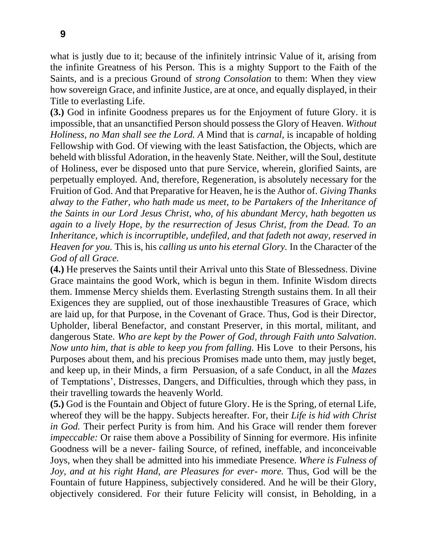what is justly due to it; because of the infinitely intrinsic Value of it, arising from the infinite Greatness of his Person. This is a mighty Support to the Faith of the Saints, and is a precious Ground of *strong Consolation* to them: When they view how sovereign Grace, and infinite Justice, are at once, and equally displayed, in their Title to everlasting Life.

**(3.)** God in infinite Goodness prepares us for the Enjoyment of future Glory. it is impossible, that an unsanctified Person should possess the Glory of Heaven. *Without Holiness, no Man shall see the Lord. A* Mind that is *carnal,* is incapable of holding Fellowship with God. Of viewing with the least Satisfaction, the Objects, which are beheld with blissful Adoration, in the heavenly State. Neither, will the Soul, destitute of Holiness, ever be disposed unto that pure Service, wherein, glorified Saints, are perpetually employed. And, therefore, Regeneration, is absolutely necessary for the Fruition of God. And that Preparative for Heaven, he is the Author of. *Giving Thanks alway to the Father, who hath made us meet, to be Partakers of the Inheritance of the Saints in our Lord Jesus Christ, who, of his abundant Mercy, hath begotten us again to a lively Hope, by the resurrection of Jesus Christ, from the Dead. To an Inheritance, which is incorruptible, undefiled, and that fadeth not away, reserved in Heaven for you.* This is, his *calling us unto his eternal Glory.* In the Character of the *God of all Grace.* 

**(4.)** He preserves the Saints until their Arrival unto this State of Blessedness. Divine Grace maintains the good Work, which is begun in them. Infinite Wisdom directs them. Immense Mercy shields them. Everlasting Strength sustains them. In all their Exigences they are supplied, out of those inexhaustible Treasures of Grace, which are laid up, for that Purpose, in the Covenant of Grace. Thus, God is their Director, Upholder, liberal Benefactor, and constant Preserver, in this mortal, militant, and dangerous State. *Who are kept by the Power of God, through Faith unto Salvation. Now unto him, that is able to keep you from falling.* His Love to their Persons, his Purposes about them, and his precious Promises made unto them, may justly beget, and keep up, in their Minds, a firm Persuasion, of a safe Conduct, in all the *Mazes*  of Temptations', Distresses, Dangers, and Difficulties, through which they pass, in their travelling towards the heavenly World.

**(5.)** God is the Fountain and Object of future Glory. He is the Spring, of eternal Life, whereof they will be the happy. Subjects hereafter. For, their *Life is hid with Christ in God.* Their perfect Purity is from him. And his Grace will render them forever *impeccable:* Or raise them above a Possibility of Sinning for evermore. His infinite Goodness will be a never- failing Source, of refined, ineffable, and inconceivable Joys, when they shall be admitted into his immediate Presence. *Where is Fulness of Joy, and at his right Hand, are Pleasures for ever- more.* Thus, God will be the Fountain of future Happiness, subjectively considered. And he will be their Glory, objectively considered. For their future Felicity will consist, in Beholding, in a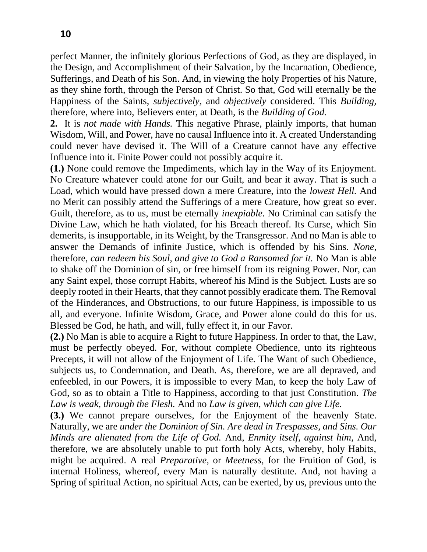perfect Manner, the infinitely glorious Perfections of God, as they are displayed, in the Design, and Accomplishment of their Salvation, by the Incarnation, Obedience, Sufferings, and Death of his Son. And, in viewing the holy Properties of his Nature, as they shine forth, through the Person of Christ. So that, God will eternally be the Happiness of the Saints, *subjectively,* and *objectively* considered. This *Building,*  therefore, where into, Believers enter, at Death, is the *Building of God.* 

**2.** It is *not made with Hands.* This negative Phrase, plainly imports, that human Wisdom, Will, and Power, have no causal Influence into it. A created Understanding could never have devised it. The Will of a Creature cannot have any effective Influence into it. Finite Power could not possibly acquire it.

**(1.)** None could remove the Impediments, which lay in the Way of its Enjoyment. No Creature whatever could atone for our Guilt, and bear it away. That is such a Load, which would have pressed down a mere Creature, into the *lowest Hell.* And no Merit can possibly attend the Sufferings of a mere Creature, how great so ever. Guilt, therefore, as to us, must be eternally *inexpiable.* No Criminal can satisfy the Divine Law, which he hath violated, for his Breach thereof. Its Curse, which Sin demerits, is insupportable, in its Weight, by the Transgressor. And no Man is able to answer the Demands of infinite Justice, which is offended by his Sins. *None,* therefore, *can redeem his Soul, and give to God a Ransomed for it.* No Man is able to shake off the Dominion of sin, or free himself from its reigning Power. Nor, can any Saint expel, those corrupt Habits, whereof his Mind is the Subject. Lusts are so deeply rooted in their Hearts, that they cannot possibly eradicate them. The Removal of the Hinderances, and Obstructions, to our future Happiness, is impossible to us all, and everyone. Infinite Wisdom, Grace, and Power alone could do this for us. Blessed be God, he hath, and will, fully effect it, in our Favor.

**(2.)** No Man is able to acquire a Right to future Happiness. In order to that, the Law, must be perfectly obeyed. For, without complete Obedience, unto its righteous Precepts, it will not allow of the Enjoyment of Life. The Want of such Obedience, subjects us, to Condemnation, and Death. As, therefore, we are all depraved, and enfeebled, in our Powers, it is impossible to every Man, to keep the holy Law of God, so as to obtain a Title to Happiness, according to that just Constitution. *The Law is weak, through the Flesh.* And no *Law is given, which can give Life.*

**(3.)** We cannot prepare ourselves, for the Enjoyment of the heavenly State. Naturally, we are *under the Dominion of Sin. Are dead in Trespasses, and Sins. Our Minds are alienated from the Life of God.* And, *Enmity itself, against him,* And, therefore, we are absolutely unable to put forth holy Acts, whereby, holy Habits, might be acquired. A real *Preparative,* or *Meetness,* for the Fruition of God, is internal Holiness, whereof, every Man is naturally destitute. And, not having a Spring of spiritual Action, no spiritual Acts, can be exerted, by us, previous unto the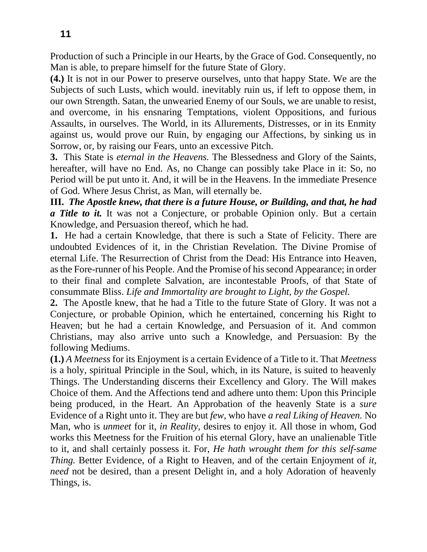Production of such a Principle in our Hearts, by the Grace of God. Consequently, no Man is able, to prepare himself for the future State of Glory.

**(4.)** It is not in our Power to preserve ourselves, unto that happy State. We are the Subjects of such Lusts, which would. inevitably ruin us, if left to oppose them, in our own Strength. Satan, the unwearied Enemy of our Souls, we are unable to resist, and overcome, in his ensnaring Temptations, violent Oppositions, and furious Assaults, in ourselves. The World, in its Allurements, Distresses, or in its Enmity against us, would prove our Ruin, by engaging our Affections, by sinking us in Sorrow, or, by raising our Fears, unto an excessive Pitch.

**3.** This State is *eternal in the Heavens.* The Blessedness and Glory of the Saints, hereafter, will have no End. As, no Change can possibly take Place in it: So, no Period will be put unto it. And, it will be in the Heavens. In the immediate Presence of God. Where Jesus Christ, as Man, will eternally be.

**III.** *The Apostle knew, that there is a future House, or Building, and that, he had a Title to it.* It was not a Conjecture, or probable Opinion only. But a certain Knowledge, and Persuasion thereof, which he had.

**1.** He had a certain Knowledge, that there is such a State of Felicity. There are undoubted Evidences of it, in the Christian Revelation. The Divine Promise of eternal Life. The Resurrection of Christ from the Dead: His Entrance into Heaven, as the Fore-runner of his People. And the Promise of his second Appearance; in order to their final and complete Salvation, are incontestable Proofs, of that State of consummate Bliss. *Life and Immortality are brought to Light, by the Gospel.*

**2.** The Apostle knew, that he had a Title to the future State of Glory. It was not a Conjecture, or probable Opinion, which he entertained, concerning his Right to Heaven; but he had a certain Knowledge, and Persuasion of it. And common Christians, may also arrive unto such a Knowledge, and Persuasion: By the following Mediums.

**(1.)** *A Meetness* for its Enjoyment is a certain Evidence of a Title to it. That *Meetness*  is a holy, spiritual Principle in the Soul, which, in its Nature, is suited to heavenly Things. The Understanding discerns their Excellency and Glory. The Will makes Choice of them. And the Affections tend and adhere unto them: Upon this Principle being produced, in the Heart. An Approbation of the heavenly State is a *sure*  Evidence of a Right unto it. They are but *few,* who have *a real Liking of Heaven.* No Man, who is *unmeet* for it, *in Reality,* desires to enjoy it. All those in whom, God works this Meetness for the Fruition of his eternal Glory, have an unalienable Title to it, and shall certainly possess it. For, *He hath wrought them for this self-same Thing.* Better Evidence, of a Right to Heaven, and of the certain Enjoyment of *it, need* not be desired, than a present Delight in, and a holy Adoration of heavenly Things, is.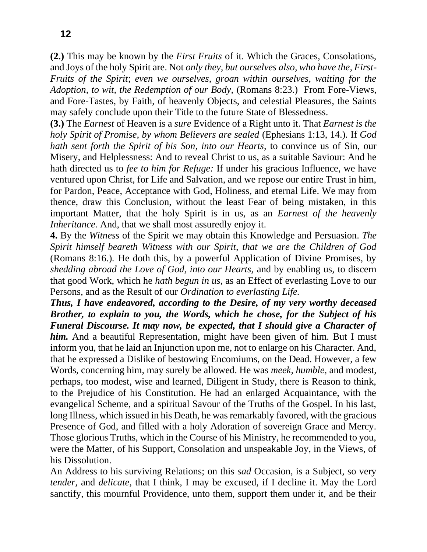**(2.)** This may be known by the *First Fruits* of it. Which the Graces, Consolations, and Joys of the holy Spirit are. Not *only they, but ourselves also, who have the, First-Fruits of the Spirit*; *even we ourselves, groan within ourselves, waiting for the Adoption, to wit, the Redemption of our Body,* (Romans 8:23.) From Fore-Views, and Fore-Tastes, by Faith, of heavenly Objects, and celestial Pleasures, the Saints may safely conclude upon their Title to the future State of Blessedness.

**(3.)** The *Earnest* of Heaven is a *sure* Evidence of a Right unto it. That *Earnest is the holy Spirit of Promise, by whom Believers are sealed* (Ephesians 1:13, 14.)*.* If *God hath sent forth the Spirit of his Son, into our Hearts,* to convince us of Sin, our Misery, and Helplessness: And to reveal Christ to us, as a suitable Saviour: And he hath directed us to *fee to him for Refuge:* If under his gracious Influence, we have ventured upon Christ, for Life and Salvation, and we repose our entire Trust in him, for Pardon, Peace, Acceptance with God, Holiness, and eternal Life. We may from thence, draw this Conclusion, without the least Fear of being mistaken, in this important Matter, that the holy Spirit is in us, as an *Earnest of the heavenly Inheritance.* And, that we shall most assuredly enjoy it.

**4.** By the *Witness* of the Spirit we may obtain this Knowledge and Persuasion. *The Spirit himself beareth Witness with our Spirit, that we are the Children of God*  (Romans 8:16.)*.* He doth this, by a powerful Application of Divine Promises, by *shedding abroad the Love of God, into our Hearts,* and by enabling us, to discern that good Work, which he *hath begun in us,* as an Effect of everlasting Love to our Persons, and as the Result of our *Ordination to everlasting Life.*

*Thus, I have endeavored, according to the Desire, of my very worthy deceased Brother, to explain to you, the Words, which he chose, for the Subject of his Funeral Discourse. It may now, be expected, that I should give a Character of him.* And a beautiful Representation, might have been given of him. But I must inform you, that he laid an Injunction upon me, not to enlarge on his Character. And, that he expressed a Dislike of bestowing Encomiums, on the Dead. However, a few Words, concerning him, may surely be allowed. He was *meek, humble,* and modest, perhaps, too modest, wise and learned, Diligent in Study, there is Reason to think, to the Prejudice of his Constitution. He had an enlarged Acquaintance, with the evangelical Scheme, and a spiritual Savour of the Truths of the Gospel. In his last, long Illness, which issued in his Death, he was remarkably favored, with the gracious Presence of God, and filled with a holy Adoration of sovereign Grace and Mercy. Those glorious Truths, which in the Course of his Ministry, he recommended to you, were the Matter, of his Support, Consolation and unspeakable Joy, in the Views, of his Dissolution.

An Address to his surviving Relations; on this *sad* Occasion, is a Subject, so very *tender,* and *delicate,* that I think, I may be excused, if I decline it. May the Lord sanctify, this mournful Providence, unto them, support them under it, and be their